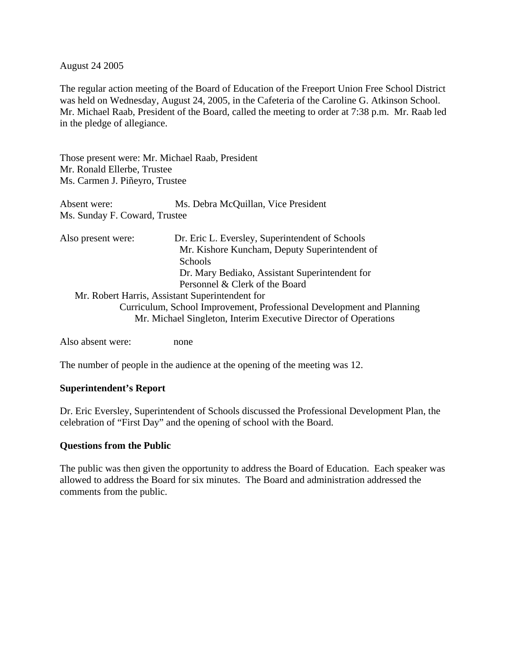#### August 24 2005

The regular action meeting of the Board of Education of the Freeport Union Free School District was held on Wednesday, August 24, 2005, in the Cafeteria of the Caroline G. Atkinson School. Mr. Michael Raab, President of the Board, called the meeting to order at 7:38 p.m. Mr. Raab led in the pledge of allegiance.

Those present were: Mr. Michael Raab, President Mr. Ronald Ellerbe, Trustee Ms. Carmen J. Piñeyro, Trustee

Absent were: Ms. Debra McQuillan, Vice President Ms. Sunday F. Coward, Trustee

| Also present were: | Dr. Eric L. Eversley, Superintendent of Schools                       |
|--------------------|-----------------------------------------------------------------------|
|                    | Mr. Kishore Kuncham, Deputy Superintendent of                         |
|                    | <b>Schools</b>                                                        |
|                    | Dr. Mary Bediako, Assistant Superintendent for                        |
|                    | Personnel & Clerk of the Board                                        |
|                    | Mr. Robert Harris, Assistant Superintendent for                       |
|                    | Curriculum, School Improvement, Professional Development and Planning |
|                    | Mr. Michael Singleton, Interim Executive Director of Operations       |
|                    |                                                                       |

Also absent were: none

The number of people in the audience at the opening of the meeting was 12.

### **Superintendent's Report**

Dr. Eric Eversley, Superintendent of Schools discussed the Professional Development Plan, the celebration of "First Day" and the opening of school with the Board.

#### **Questions from the Public**

The public was then given the opportunity to address the Board of Education. Each speaker was allowed to address the Board for six minutes. The Board and administration addressed the comments from the public.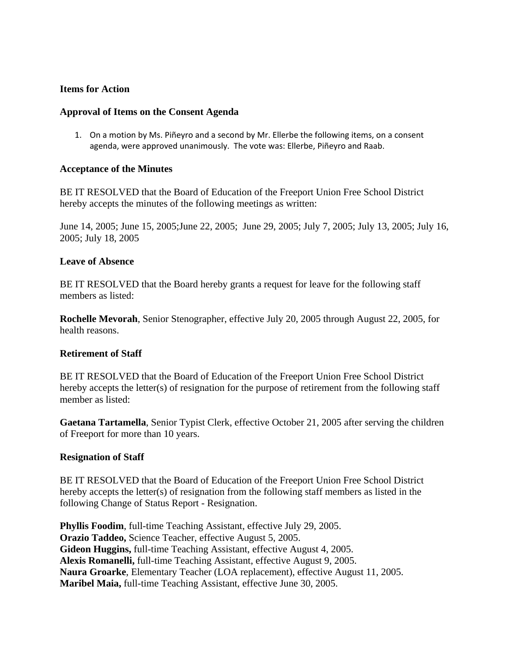### **Items for Action**

#### **Approval of Items on the Consent Agenda**

1. On a motion by Ms. Piñeyro and a second by Mr. Ellerbe the following items, on a consent agenda, were approved unanimously. The vote was: Ellerbe, Piñeyro and Raab.

#### **Acceptance of the Minutes**

BE IT RESOLVED that the Board of Education of the Freeport Union Free School District hereby accepts the minutes of the following meetings as written:

June 14, 2005; June 15, 2005;June 22, 2005; June 29, 2005; July 7, 2005; July 13, 2005; July 16, 2005; July 18, 2005

#### **Leave of Absence**

BE IT RESOLVED that the Board hereby grants a request for leave for the following staff members as listed:

**Rochelle Mevorah**, Senior Stenographer, effective July 20, 2005 through August 22, 2005, for health reasons.

### **Retirement of Staff**

BE IT RESOLVED that the Board of Education of the Freeport Union Free School District hereby accepts the letter(s) of resignation for the purpose of retirement from the following staff member as listed:

**Gaetana Tartamella**, Senior Typist Clerk, effective October 21, 2005 after serving the children of Freeport for more than 10 years.

### **Resignation of Staff**

BE IT RESOLVED that the Board of Education of the Freeport Union Free School District hereby accepts the letter(s) of resignation from the following staff members as listed in the following Change of Status Report - Resignation.

**Phyllis Foodim**, full-time Teaching Assistant, effective July 29, 2005. **Orazio Taddeo,** Science Teacher, effective August 5, 2005. **Gideon Huggins,** full-time Teaching Assistant, effective August 4, 2005. **Alexis Romanelli,** full-time Teaching Assistant, effective August 9, 2005. **Naura Groarke**, Elementary Teacher (LOA replacement), effective August 11, 2005. **Maribel Maia,** full-time Teaching Assistant, effective June 30, 2005.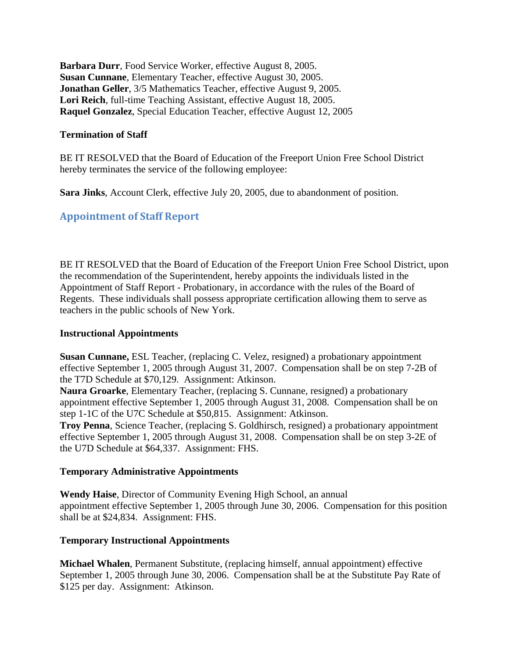**Barbara Durr**, Food Service Worker, effective August 8, 2005. **Susan Cunnane**, Elementary Teacher, effective August 30, 2005. **Jonathan Geller**, 3/5 Mathematics Teacher, effective August 9, 2005. **Lori Reich**, full-time Teaching Assistant, effective August 18, 2005. **Raquel Gonzalez**, Special Education Teacher, effective August 12, 2005

### **Termination of Staff**

BE IT RESOLVED that the Board of Education of the Freeport Union Free School District hereby terminates the service of the following employee:

**Sara Jinks**, Account Clerk, effective July 20, 2005, due to abandonment of position.

# **Appointment of Staff Report**

BE IT RESOLVED that the Board of Education of the Freeport Union Free School District, upon the recommendation of the Superintendent, hereby appoints the individuals listed in the Appointment of Staff Report - Probationary, in accordance with the rules of the Board of Regents. These individuals shall possess appropriate certification allowing them to serve as teachers in the public schools of New York.

### **Instructional Appointments**

**Susan Cunnane,** ESL Teacher, (replacing C. Velez, resigned) a probationary appointment effective September 1, 2005 through August 31, 2007. Compensation shall be on step 7-2B of the T7D Schedule at \$70,129. Assignment: Atkinson.

**Naura Groarke**, Elementary Teacher, (replacing S. Cunnane, resigned) a probationary appointment effective September 1, 2005 through August 31, 2008. Compensation shall be on step 1-1C of the U7C Schedule at \$50,815. Assignment: Atkinson.

**Troy Penna**, Science Teacher, (replacing S. Goldhirsch, resigned) a probationary appointment effective September 1, 2005 through August 31, 2008. Compensation shall be on step 3-2E of the U7D Schedule at \$64,337. Assignment: FHS.

### **Temporary Administrative Appointments**

**Wendy Haise**, Director of Community Evening High School, an annual appointment effective September 1, 2005 through June 30, 2006. Compensation for this position shall be at \$24,834. Assignment: FHS.

## **Temporary Instructional Appointments**

**Michael Whalen**, Permanent Substitute, (replacing himself, annual appointment) effective September 1, 2005 through June 30, 2006. Compensation shall be at the Substitute Pay Rate of \$125 per day. Assignment: Atkinson.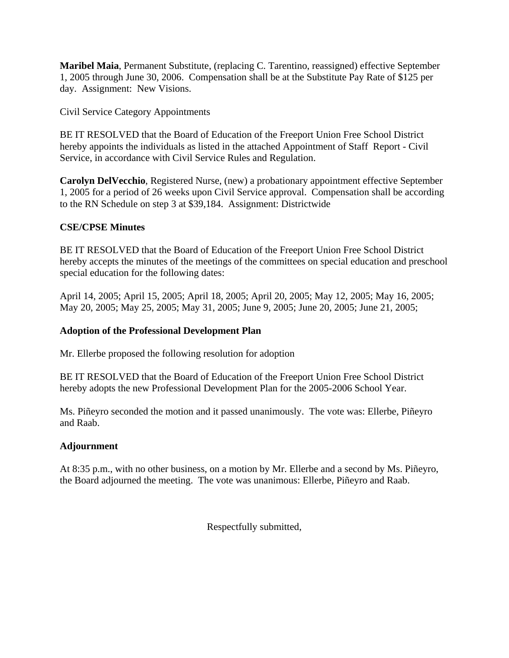**Maribel Maia**, Permanent Substitute, (replacing C. Tarentino, reassigned) effective September 1, 2005 through June 30, 2006. Compensation shall be at the Substitute Pay Rate of \$125 per day. Assignment: New Visions.

Civil Service Category Appointments

BE IT RESOLVED that the Board of Education of the Freeport Union Free School District hereby appoints the individuals as listed in the attached Appointment of Staff Report - Civil Service, in accordance with Civil Service Rules and Regulation.

**Carolyn DelVecchio**, Registered Nurse, (new) a probationary appointment effective September 1, 2005 for a period of 26 weeks upon Civil Service approval. Compensation shall be according to the RN Schedule on step 3 at \$39,184. Assignment: Districtwide

## **CSE/CPSE Minutes**

BE IT RESOLVED that the Board of Education of the Freeport Union Free School District hereby accepts the minutes of the meetings of the committees on special education and preschool special education for the following dates:

April 14, 2005; April 15, 2005; April 18, 2005; April 20, 2005; May 12, 2005; May 16, 2005; May 20, 2005; May 25, 2005; May 31, 2005; June 9, 2005; June 20, 2005; June 21, 2005;

## **Adoption of the Professional Development Plan**

Mr. Ellerbe proposed the following resolution for adoption

BE IT RESOLVED that the Board of Education of the Freeport Union Free School District hereby adopts the new Professional Development Plan for the 2005-2006 School Year.

Ms. Piñeyro seconded the motion and it passed unanimously. The vote was: Ellerbe, Piñeyro and Raab.

## **Adjournment**

At 8:35 p.m., with no other business, on a motion by Mr. Ellerbe and a second by Ms. Piñeyro, the Board adjourned the meeting. The vote was unanimous: Ellerbe, Piñeyro and Raab.

Respectfully submitted,